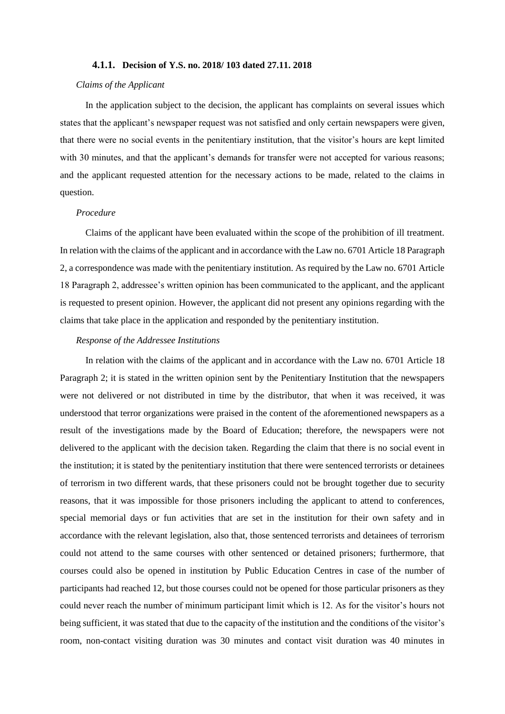### **4.1.1. Decision of Y.S. no. 2018/ 103 dated 27.11. 2018**

#### *Claims of the Applicant*

In the application subject to the decision, the applicant has complaints on several issues which states that the applicant's newspaper request was not satisfied and only certain newspapers were given, that there were no social events in the penitentiary institution, that the visitor's hours are kept limited with 30 minutes, and that the applicant's demands for transfer were not accepted for various reasons; and the applicant requested attention for the necessary actions to be made, related to the claims in question.

# *Procedure*

Claims of the applicant have been evaluated within the scope of the prohibition of ill treatment. In relation with the claims of the applicant and in accordance with the Law no. 6701 Article 18 Paragraph 2, a correspondence was made with the penitentiary institution. As required by the Law no. 6701 Article 18 Paragraph 2, addressee's written opinion has been communicated to the applicant, and the applicant is requested to present opinion. However, the applicant did not present any opinions regarding with the claims that take place in the application and responded by the penitentiary institution.

#### *Response of the Addressee Institutions*

In relation with the claims of the applicant and in accordance with the Law no. 6701 Article 18 Paragraph 2; it is stated in the written opinion sent by the Penitentiary Institution that the newspapers were not delivered or not distributed in time by the distributor, that when it was received, it was understood that terror organizations were praised in the content of the aforementioned newspapers as a result of the investigations made by the Board of Education; therefore, the newspapers were not delivered to the applicant with the decision taken. Regarding the claim that there is no social event in the institution; it is stated by the penitentiary institution that there were sentenced terrorists or detainees of terrorism in two different wards, that these prisoners could not be brought together due to security reasons, that it was impossible for those prisoners including the applicant to attend to conferences, special memorial days or fun activities that are set in the institution for their own safety and in accordance with the relevant legislation, also that, those sentenced terrorists and detainees of terrorism could not attend to the same courses with other sentenced or detained prisoners; furthermore, that courses could also be opened in institution by Public Education Centres in case of the number of participants had reached 12, but those courses could not be opened for those particular prisoners as they could never reach the number of minimum participant limit which is 12. As for the visitor's hours not being sufficient, it was stated that due to the capacity of the institution and the conditions of the visitor's room, non-contact visiting duration was 30 minutes and contact visit duration was 40 minutes in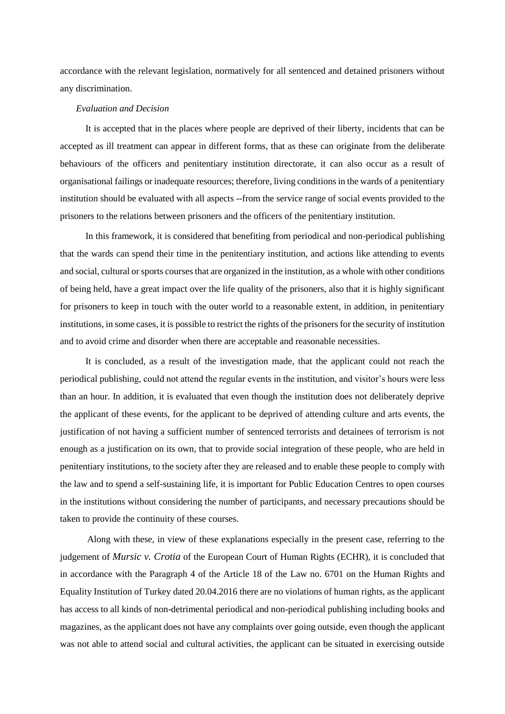accordance with the relevant legislation, normatively for all sentenced and detained prisoners without any discrimination.

# *Evaluation and Decision*

It is accepted that in the places where people are deprived of their liberty, incidents that can be accepted as ill treatment can appear in different forms, that as these can originate from the deliberate behaviours of the officers and penitentiary institution directorate, it can also occur as a result of organisational failings or inadequate resources; therefore, living conditions in the wards of a penitentiary institution should be evaluated with all aspects --from the service range of social events provided to the prisoners to the relations between prisoners and the officers of the penitentiary institution.

In this framework, it is considered that benefiting from periodical and non-periodical publishing that the wards can spend their time in the penitentiary institution, and actions like attending to events and social, cultural or sports courses that are organized in the institution, as a whole with other conditions of being held, have a great impact over the life quality of the prisoners, also that it is highly significant for prisoners to keep in touch with the outer world to a reasonable extent, in addition, in penitentiary institutions, in some cases, it is possible to restrict the rights of the prisoners for the security of institution and to avoid crime and disorder when there are acceptable and reasonable necessities.

It is concluded, as a result of the investigation made, that the applicant could not reach the periodical publishing, could not attend the regular events in the institution, and visitor's hours were less than an hour. In addition, it is evaluated that even though the institution does not deliberately deprive the applicant of these events, for the applicant to be deprived of attending culture and arts events, the justification of not having a sufficient number of sentenced terrorists and detainees of terrorism is not enough as a justification on its own, that to provide social integration of these people, who are held in penitentiary institutions, to the society after they are released and to enable these people to comply with the law and to spend a self-sustaining life, it is important for Public Education Centres to open courses in the institutions without considering the number of participants, and necessary precautions should be taken to provide the continuity of these courses.

Along with these, in view of these explanations especially in the present case, referring to the judgement of *Mursic v. Crotia* of the European Court of Human Rights (ECHR), it is concluded that in accordance with the Paragraph 4 of the Article 18 of the Law no. 6701 on the Human Rights and Equality Institution of Turkey dated 20.04.2016 there are no violations of human rights, as the applicant has access to all kinds of non-detrimental periodical and non-periodical publishing including books and magazines, as the applicant does not have any complaints over going outside, even though the applicant was not able to attend social and cultural activities, the applicant can be situated in exercising outside